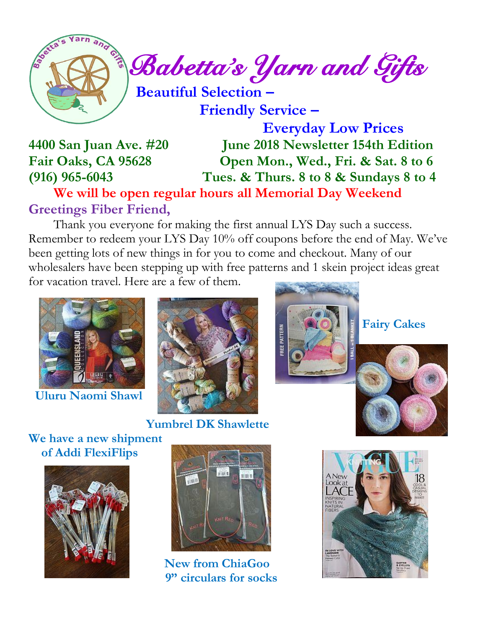

 **Friendly Service –**

 **Everyday Low Prices 4400 San Juan Ave. #20 June 2018 Newsletter 154th Edition Fair Oaks, CA 95628 Open Mon., Wed., Fri. & Sat. 8 to 6 (916) 965-6043 Tues. & Thurs. 8 to 8 & Sundays 8 to 4**

 **We will be open regular hours all Memorial Day Weekend Greetings Fiber Friend,**

Thank you everyone for making the first annual LYS Day such a success. Remember to redeem your LYS Day 10% off coupons before the end of May. We've been getting lots of new things in for you to come and checkout. Many of our wholesalers have been stepping up with free patterns and 1 skein project ideas great for vacation travel. Here are a few of them.



 **Uluru Naomi Shawl**



 **Yumbrel DK Shawlette**



 **Fairy Cakes**



**We have a new shipment of Addi FlexiFlips**





 **New from ChiaGoo 9" circulars for socks**

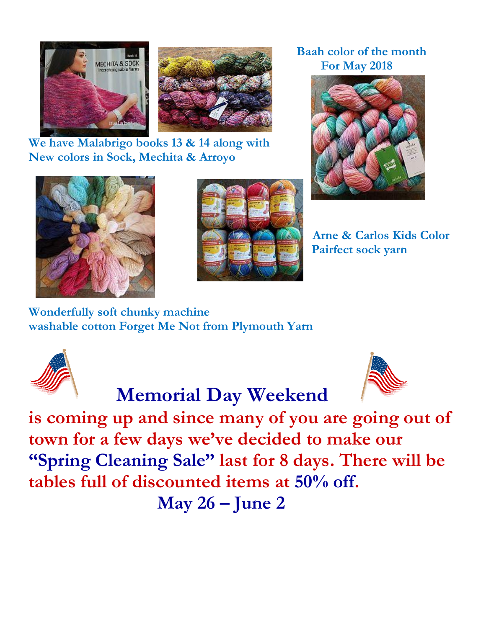

**We have Malabrigo books 13 & 14 along with New colors in Sock, Mechita & Arroyo**





# **Baah color of the month**



**Arne & Carlos Kids Color Pairfect sock yarn**

**Wonderfully soft chunky machine washable cotton Forget Me Not from Plymouth Yarn**



## **Memorial Day Weekend**



**is coming up and since many of you are going out of town for a few days we've decided to make our "Spring Cleaning Sale" last for 8 days. There will be tables full of discounted items at 50% off.**

 **May 26 – June 2**